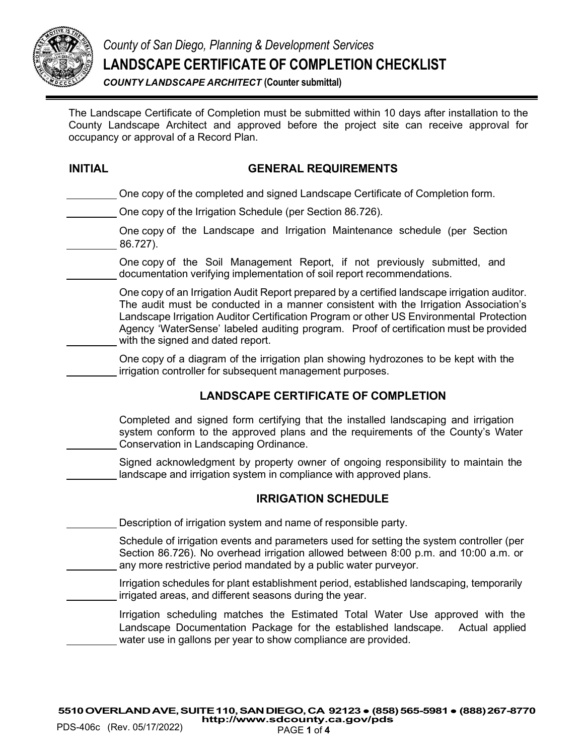

*County of San Diego, Planning & Development Services* **LANDSCAPE CERTIFICATE OF COMPLETION CHECKLIST**

*COUNTY LANDSCAPE ARCHITECT* **(Counter submittal)**

The Landscape Certificate of Completion must be submitted within 10 days after installation to the County Landscape Architect and approved before the project site can receive approval for occupancy or approval of a Record Plan.

#### **INITIAL GENERAL REQUIREMENTS**

One copy of the completed and signed Landscape Certificate of Completion form.

- One copy of the Irrigation Schedule (per Section 86.726).
- One copy of the Landscape and Irrigation Maintenance schedule (per Section 86.727).
- One copy of the Soil Management Report, if not previously submitted, and documentation verifying implementation of soil report recommendations.

One copy of an Irrigation Audit Report prepared by a certified landscape irrigation auditor. The audit must be conducted in a manner consistent with the Irrigation Association's Landscape Irrigation Auditor Certification Program or other US Environmental Protection Agency 'WaterSense' labeled auditing program. Proof of certification must be provided with the signed and dated report.

One copy of a diagram of the irrigation plan showing hydrozones to be kept with the irrigation controller for subsequent management purposes.

### **LANDSCAPE CERTIFICATE OF COMPLETION**

Completed and signed form certifying that the installed landscaping and irrigation system conform to the approved plans and the requirements of the County's Water Conservation in Landscaping Ordinance.

Signed acknowledgment by property owner of ongoing responsibility to maintain the landscape and irrigation system in compliance with approved plans.

#### **IRRIGATION SCHEDULE**

Description of irrigation system and name of responsible party.

Schedule of irrigation events and parameters used for setting the system controller (per Section 86.726). No overhead irrigation allowed between 8:00 p.m. and 10:00 a.m. or any more restrictive period mandated by a public water purveyor.

Irrigation schedules for plant establishment period, established landscaping, temporarily irrigated areas, and different seasons during the year.

Irrigation scheduling matches the Estimated Total Water Use approved with the Landscape Documentation Package for the established landscape. Actual applied water use in gallons per year to show compliance are provided.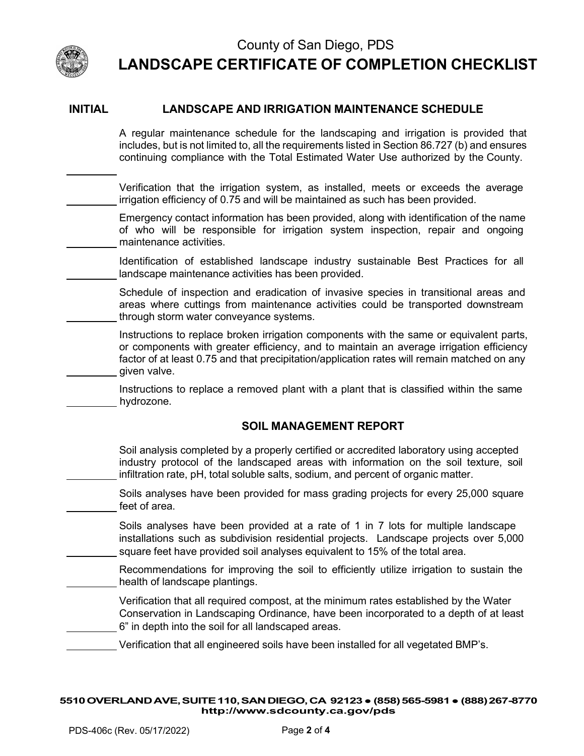

j.

### County of San Diego, PDS **LANDSCAPE CERTIFICATE OF COMPLETION CHECKLIST**

#### **INITIAL LANDSCAPE AND IRRIGATION MAINTENANCE SCHEDULE**

A regular maintenance schedule for the landscaping and irrigation is provided that includes, but is not limited to, all the requirements listed in Section 86.727 (b) and ensures continuing compliance with the Total Estimated Water Use authorized by the County.

Verification that the irrigation system, as installed, meets or exceeds the average irrigation efficiency of 0.75 and will be maintained as such has been provided.

Emergency contact information has been provided, along with identification of the name of who will be responsible for irrigation system inspection, repair and ongoing maintenance activities.

Identification of established landscape industry sustainable Best Practices for all landscape maintenance activities has been provided.

Schedule of inspection and eradication of invasive species in transitional areas and areas where cuttings from maintenance activities could be transported downstream through storm water conveyance systems.

Instructions to replace broken irrigation components with the same or equivalent parts, or components with greater efficiency, and to maintain an average irrigation efficiency factor of at least 0.75 and that precipitation/application rates will remain matched on any given valve.

Instructions to replace a removed plant with a plant that is classified within the same hydrozone.

#### **SOIL MANAGEMENT REPORT**

Soil analysis completed by a properly certified or accredited laboratory using accepted industry protocol of the landscaped areas with information on the soil texture, soil infiltration rate, pH, total soluble salts, sodium, and percent of organic matter.

Soils analyses have been provided for mass grading projects for every 25,000 square feet of area.

Soils analyses have been provided at a rate of 1 in 7 lots for multiple landscape installations such as subdivision residential projects. Landscape projects over 5,000 square feet have provided soil analyses equivalent to 15% of the total area.

Recommendations for improving the soil to efficiently utilize irrigation to sustain the health of landscape plantings.

Verification that all required compost, at the minimum rates established by the Water Conservation in Landscaping Ordinance, have been incorporated to a depth of at least 6" in depth into the soil for all landscaped areas.

Verification that all engineered soils have been installed for all vegetated BMP's.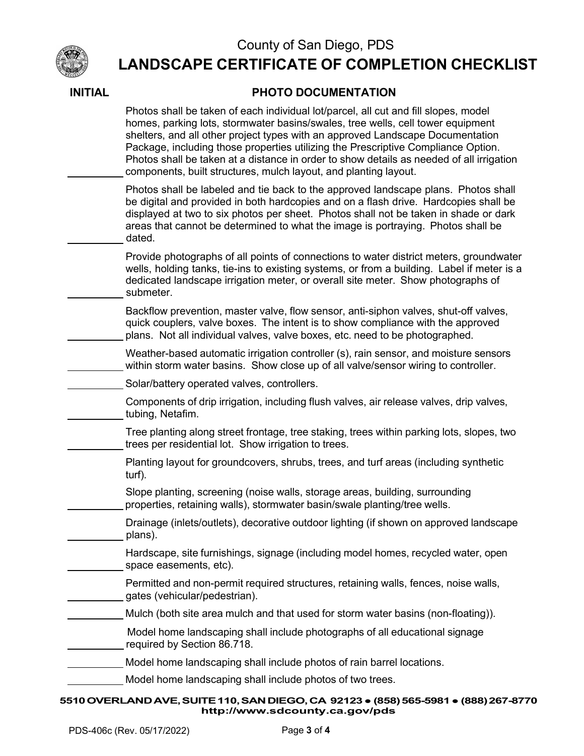

## County of San Diego, PDS

# **LANDSCAPE CERTIFICATE OF COMPLETION CHECKLIST**

| Photos shall be taken of each individual lot/parcel, all cut and fill slopes, model<br>homes, parking lots, stormwater basins/swales, tree wells, cell tower equipment<br>shelters, and all other project types with an approved Landscape Documentation<br>Package, including those properties utilizing the Prescriptive Compliance Option.<br>Photos shall be taken at a distance in order to show details as needed of all irrigation<br>components, built structures, mulch layout, and planting layout. |
|---------------------------------------------------------------------------------------------------------------------------------------------------------------------------------------------------------------------------------------------------------------------------------------------------------------------------------------------------------------------------------------------------------------------------------------------------------------------------------------------------------------|
| Photos shall be labeled and tie back to the approved landscape plans. Photos shall<br>be digital and provided in both hardcopies and on a flash drive. Hardcopies shall be<br>displayed at two to six photos per sheet. Photos shall not be taken in shade or dark<br>areas that cannot be determined to what the image is portraying. Photos shall be<br>dated.                                                                                                                                              |
| Provide photographs of all points of connections to water district meters, groundwater<br>wells, holding tanks, tie-ins to existing systems, or from a building. Label if meter is a<br>dedicated landscape irrigation meter, or overall site meter. Show photographs of<br>submeter.                                                                                                                                                                                                                         |
| Backflow prevention, master valve, flow sensor, anti-siphon valves, shut-off valves,<br>quick couplers, valve boxes. The intent is to show compliance with the approved<br>plans. Not all individual valves, valve boxes, etc. need to be photographed.                                                                                                                                                                                                                                                       |
| Weather-based automatic irrigation controller (s), rain sensor, and moisture sensors<br>within storm water basins. Show close up of all valve/sensor wiring to controller.                                                                                                                                                                                                                                                                                                                                    |
| Solar/battery operated valves, controllers.                                                                                                                                                                                                                                                                                                                                                                                                                                                                   |
| Components of drip irrigation, including flush valves, air release valves, drip valves,<br>tubing, Netafim.                                                                                                                                                                                                                                                                                                                                                                                                   |
| Tree planting along street frontage, tree staking, trees within parking lots, slopes, two<br>trees per residential lot. Show irrigation to trees.                                                                                                                                                                                                                                                                                                                                                             |
| Planting layout for groundcovers, shrubs, trees, and turf areas (including synthetic<br>turf).                                                                                                                                                                                                                                                                                                                                                                                                                |
| Slope planting, screening (noise walls, storage areas, building, surrounding<br>properties, retaining walls), stormwater basin/swale planting/tree wells.                                                                                                                                                                                                                                                                                                                                                     |
| Drainage (inlets/outlets), decorative outdoor lighting (if shown on approved landscape<br>plans).                                                                                                                                                                                                                                                                                                                                                                                                             |
| Hardscape, site furnishings, signage (including model homes, recycled water, open<br>space easements, etc).                                                                                                                                                                                                                                                                                                                                                                                                   |
| Permitted and non-permit required structures, retaining walls, fences, noise walls,<br>gates (vehicular/pedestrian).                                                                                                                                                                                                                                                                                                                                                                                          |
| Mulch (both site area mulch and that used for storm water basins (non-floating)).                                                                                                                                                                                                                                                                                                                                                                                                                             |
| Model home landscaping shall include photographs of all educational signage<br>required by Section 86.718.                                                                                                                                                                                                                                                                                                                                                                                                    |
| Model home landscaping shall include photos of rain barrel locations.                                                                                                                                                                                                                                                                                                                                                                                                                                         |
| Model home landscaping shall include photos of two trees.                                                                                                                                                                                                                                                                                                                                                                                                                                                     |
| 5510 OVERLAND AVE, SUITE 110, SAN DIEGO, CA 92123 • (858) 565-5981 • (888) 267-8770                                                                                                                                                                                                                                                                                                                                                                                                                           |

### **INITIAL PHOTO DOCUMENTATION**

**<http://www.sdcounty.ca.gov/pds>**